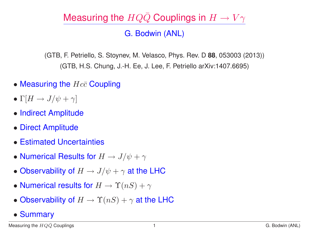# Measuring the  $HQ\bar{Q}$  Couplings in  $H \to V\gamma$

### G. Bodwin (ANL)

(GTB, F. Petriello, S. Stoynev, M. Velasco, Phys. Rev. D **88**, 053003 (2013)) (GTB, H.S. Chung, J.-H. Ee, J. Lee, F. Petriello arXiv:1407.6695)

- Measuring the  $Hc\bar{c}$  Coupling
- Γ $[H \to J/\psi + \gamma]$
- Indirect Amplitude
- Direct Amplitude
- Estimated Uncertainties
- Numerical Results for  $H \to J/\psi + \gamma$
- Observability of  $H \to J/\psi + \gamma$  at the LHC
- Numerical results for  $H \to \Upsilon(nS) + \gamma$
- Observability of  $H \to \Upsilon(nS) + \gamma$  at the LHC
- Summary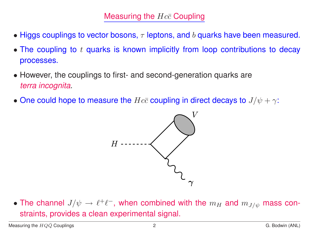- Higgs couplings to vector bosons,  $\tau$  leptons, and b quarks have been measured.
- The coupling to  $t$  quarks is known implicitly from loop contributions to decay processes.
- However, the couplings to first- and second-generation quarks are *terra incognita*.
- One could hope to measure the  $Hc\bar{c}$  coupling in direct decays to  $J/\psi + \gamma$ :



• The channel  $J/\psi \to \ell^+\ell^-$ , when combined with the  $m_H$  and  $m_{J/\psi}$  mass constraints, provides a clean experimental signal.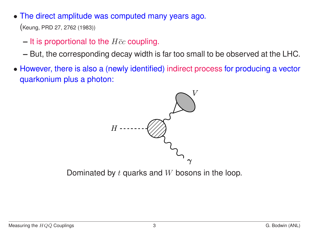• The direct amplitude was computed many years ago.

(Keung, PRD 27, 2762 (1983))

- $-$  It is proportional to the  $H\bar{c}c$  coupling.
- **–** But, the corresponding decay width is far too small to be observed at the LHC.
- However, there is also a (newly identified) indirect process for producing a vector quarkonium plus a photon:



Dominated by  $t$  quarks and  $W$  bosons in the loop.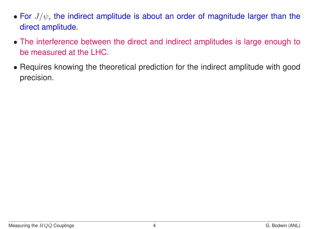- For  $J/\psi$ , the indirect amplitude is about an order of magnitude larger than the direct amplitude.
- The interference between the direct and indirect amplitudes is large enough to be measured at the LHC.
- Requires knowing the theoretical prediction for the indirect amplitude with good precision.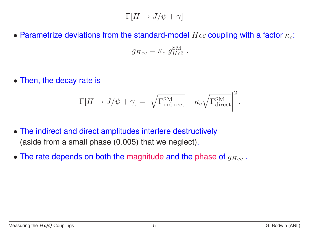## $\Gamma[H \to J/\psi + \gamma]$

• Parametrize deviations from the standard-model  $Hc\bar{c}$  coupling with a factor  $\kappa_c$ :

$$
g_{Hc\bar{c}} = \kappa_c \; g_{Hc\bar{c}}^{\rm SM} \; .
$$

• Then, the decay rate is

$$
\Gamma[H \to J/\psi + \gamma] = \left| \sqrt{\Gamma_{\text{indirect}}^{\text{SM}}} - \kappa_c \sqrt{\Gamma_{\text{direct}}^{\text{SM}}} \right|^2.
$$

- The indirect and direct amplitudes interfere destructively (aside from a small phase (0.005) that we neglect).
- The rate depends on both the magnitude and the phase of  $g_{Hc\bar{c}}$ .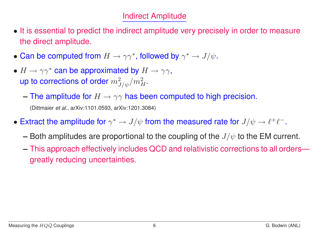#### Indirect Amplitude

- It is essential to predict the indirect amplitude very precisely in order to measure the direct amplitude.
- Can be computed from  $H \to \gamma \gamma^*$ , followed by  $\gamma^* \to J/\psi$ .
- $H \to \gamma\gamma^*$  can be approximated by  $H \to \gamma\gamma$ , up to corrections of order  $m_{J/\psi}^2/m_H^2.$ 
	- $-$  The amplitude for  $H \to \gamma\gamma$  has been computed to high precision.

(Dittmaier *et al.*, arXiv:1101.0593, arXiv:1201.3084)

- Extract the amplitude for  $\gamma^* \to J/\psi$  from the measured rate for  $J/\psi \to \ell^+ \ell^-$ .
	- **–** Both amplitudes are proportional to the coupling of the  $J/\psi$  to the EM current.
	- **–** This approach effectively includes QCD and relativistic corrections to all orders greatly reducing uncertainties.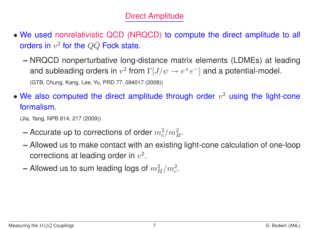#### Direct Amplitude

- We used nonrelativistic QCD (NRQCD) to compute the direct amplitude to all orders in  $v^2$  for the  $Q\bar{Q}$  Fock state.
	- **–** NRQCD nonperturbative long-distance matrix elements (LDMEs) at leading and subleading orders in  $v^2$  from  $\Gamma[J/\psi \to e^+e^-]$  and a potential-model. (GTB, Chung, Kang, Lee, Yu, PRD 77, 094017 (2008))
- We also computed the direct amplitude through order  $v^2$  using the light-cone formalism.

(Jia, Yang, NPB 814, 217 (2009))

- **–** Accurate up to corrections of order  $m_c^2/m_H^2$ .
- **–** Allowed us to make contact with an existing light-cone calculation of one-loop corrections at leading order in  $v^2$ .
- **Allowed us to sum leading logs of**  $m_H^2/m_c^2$ .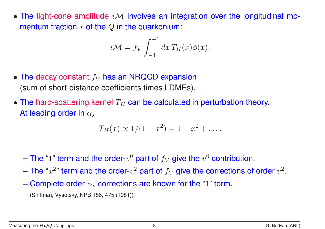• The light-cone amplitude  $i\mathcal{M}$  involves an integration over the longitudinal momentum fraction  $x$  of the  $Q$  in the quarkonium:

$$
i\mathcal{M} = f_V \int_{-1}^{+1} dx \, T_H(x) \phi(x).
$$

- The decay constant  $f_V$  has an NRQCD expansion (sum of short-distance coefficients times LDMEs).
- The hard-scattering kernel  $T_H$  can be calculated in perturbation theory. At leading order in  $\alpha_s$

$$
T_H(x) \propto 1/(1-x^2) = 1 + x^2 + \dots
$$

- $-$  The "1" term and the order- $v^0$  part of  $f_V$  give the  $v^0$  contribution.
- The " $x^{2}$ " term and the order- $v^2$  part of  $f_V$  give the corrections of order  $v^2$ .
- **Complete order-** $\alpha_s$  **corrections are known for the "1" term.**

(Shifman, Vysotsky, NPB 186, 475 (1981))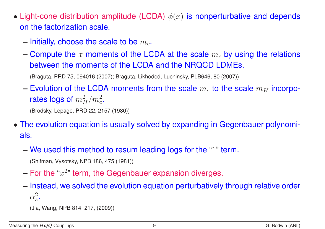- Light-cone distribution amplitude (LCDA)  $\phi(x)$  is nonperturbative and depends on the factorization scale.
	- $-$  Initially, choose the scale to be  $m_c$ .
	- $-$  Compute the x moments of the LCDA at the scale  $m_c$  by using the relations between the moments of the LCDA and the NRQCD LDMEs.

(Braguta, PRD 75, 094016 (2007); Braguta, Likhoded, Luchinsky, PLB646, 80 (2007))

 $-$  Evolution of the LCDA moments from the scale  $m_c$  to the scale  $m_H$  incorporates logs of  $m_H^2/m_c^2$ .

(Brodsky, Lepage, PRD 22, 2157 (1980))

- The evolution equation is usually solved by expanding in Gegenbauer polynomials.
	- **–** We used this method to resum leading logs for the "1" term.

(Shifman, Vysotsky, NPB 186, 475 (1981))

- $-$  For the " $x^{2}$ " term, the Gegenbauer expansion diverges.
- **–** Instead, we solved the evolution equation perturbatively through relative order  $\alpha_s^2$  $\frac{2}{s}$  .

(Jia, Wang, NPB 814, 217, (2009))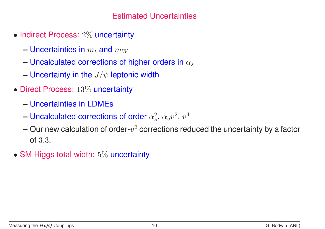#### Estimated Uncertainties

- Indirect Process: 2% uncertainty
	- **Uncertainties in**  $m_t$  and  $m_W$
	- $\sim$  Uncalculated corrections of higher orders in  $\alpha_s$
	- **–** Uncertainty in the  $J/\psi$  leptonic width
- Direct Process: 13% uncertainty
	- **–** Uncertainties in LDMEs
	- $-$  Uncalculated corrections of order  $\alpha_s^2$  $\frac{2}{s}$ ,  $\alpha_s v^2$ ,  $v^4$
	- $-$  Our new calculation of order- $v^2$  corrections reduced the uncertainty by a factor of 3.3.
- SM Higgs total width: 5% uncertainty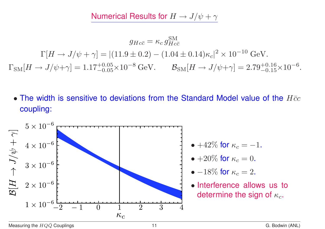Numerical Results for  $H \to J/\psi + \gamma$ 

 $g_{Hc\bar{c}}=\kappa_c\,g_{Hci}^{\rm SM}$  $Hc\bar{c}$  $\Gamma[H \to J/\psi + \gamma] = |(11.9 \pm 0.2) - (1.04 \pm 0.14)\kappa_c|^2 \times 10^{-10} \text{ GeV}.$  $\Gamma_{\rm SM}[H\to J/\psi+\gamma]=1.17^{+0.05}_{-0.05}\times 10^{-8}\ {\rm GeV}.\quad\quad {\cal B}_{\rm SM}[H\to J/\psi+\gamma]=2.79^{+0.16}_{-0.15}\times 10^{-6}.$ 

• The width is sensitive to deviations from the Standard Model value of the  $H\bar{c}c$ coupling:

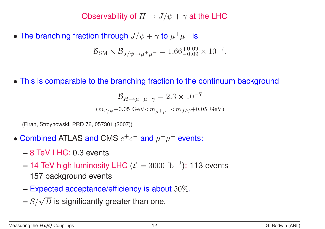Observability of  $H \to J/\psi + \gamma$  at the LHC

• The branching fraction through  $J/\psi + \gamma$  to  $\mu^+ \mu^-$  is

$$
\mathcal{B}_{\rm SM} \times \mathcal{B}_{J/\psi \to \mu^+ \mu^-} = 1.66^{+0.09}_{-0.09} \times 10^{-7}.
$$

• This is comparable to the branching fraction to the continuum background

$$
\mathcal{B}_{H\to \mu^+\mu^-\gamma} = 2.3\times 10^{-7}
$$
  

$$
(m_{J/\psi}-0.05~{\rm GeV} < m_{\mu^+\mu^-} < m_{J/\psi}+0.05~{\rm GeV})
$$

(Firan, Stroynowski, PRD 76, 057301 (2007))

- Combined ATLAS and CMS  $e^+e^-$  and  $\mu^+\mu^-$  events:
	- **–** 8 TeV LHC: 0.3 events
	- **14 TeV high luminosity LHC (** $\mathcal{L} = 3000 \text{ fb}^{-1}$ **): 113 events** 157 background events
	- **–** Expected acceptance/efficiency is about 50%.
	- $S/\sqrt{B}$  is significantly greater than one.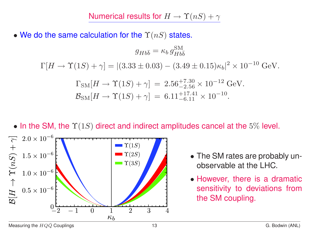• We do the same calculation for the  $\Upsilon(nS)$  states.

$$
g_{Hb\bar{b}} = \kappa_b g_{Hb\bar{b}}^{\rm SM}
$$

 $\Gamma[H\to \Upsilon(1S)+\gamma] = |(3.33\pm 0.03) - (3.49\pm 0.15)\kappa_b|^2 \times 10^{-10} \text{ GeV}.$ 

$$
\Gamma_{\rm SM}[H \to \Upsilon(1S) + \gamma] = 2.56^{+7.30}_{-2.56} \times 10^{-12} \text{ GeV}.
$$
  

$$
\mathcal{B}_{\rm SM}[H \to \Upsilon(1S) + \gamma] = 6.11^{+17.41}_{-6.11} \times 10^{-10}.
$$





- The SM rates are probably unobservable at the LHC.
- However, there is a dramatic sensitivity to deviations from the SM coupling.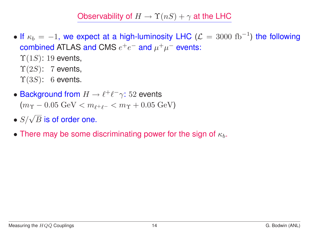Observability of  $H \to \Upsilon(nS) + \gamma$  at the LHC

• If  $\kappa_b = -1$ , we expect at a high-luminosity LHC ( $\mathcal{L} = 3000~\mathrm{fb}^{-1}$ ) the following combined ATLAS and CMS  $e^+e^-$  and  $\mu^+\mu^-$  events:

 $\Upsilon(1S)$ : 19 events,  $\Upsilon(2S)$ : 7 events,

- $\Upsilon(3S)$ : 6 events.
- Background from  $H \to \ell^+ \ell^- \gamma$ : 52 events  $(m_{\Upsilon} - 0.05 \text{ GeV} < m_{\ell^+ \ell^-} < m_{\Upsilon} + 0.05 \text{ GeV})$
- $\bullet$   $S/\sqrt{B}$  is of order one.
- There may be some discriminating power for the sign of  $\kappa_b$ .